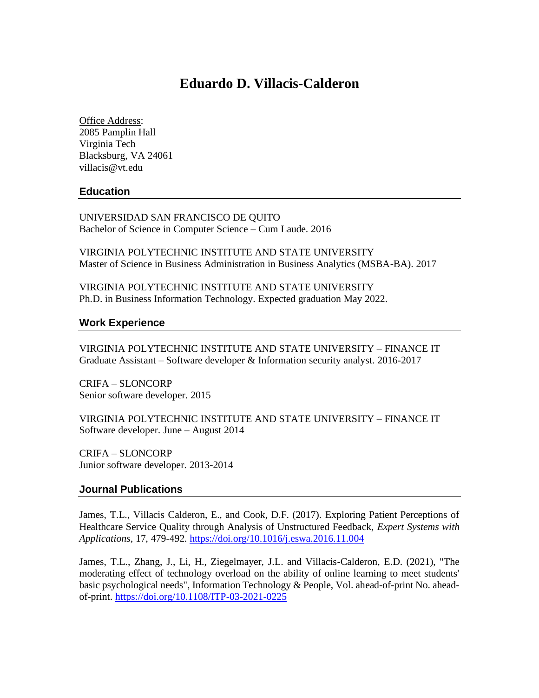# **Eduardo D. Villacis-Calderon**

Office Address: 2085 Pamplin Hall Virginia Tech Blacksburg, VA 24061 villacis@vt.edu

## **Education**

UNIVERSIDAD SAN FRANCISCO DE QUITO Bachelor of Science in Computer Science – Cum Laude. 2016

VIRGINIA POLYTECHNIC INSTITUTE AND STATE UNIVERSITY Master of Science in Business Administration in Business Analytics (MSBA-BA). 2017

VIRGINIA POLYTECHNIC INSTITUTE AND STATE UNIVERSITY Ph.D. in Business Information Technology. Expected graduation May 2022.

#### **Work Experience**

VIRGINIA POLYTECHNIC INSTITUTE AND STATE UNIVERSITY – FINANCE IT Graduate Assistant – Software developer & Information security analyst. 2016-2017

CRIFA – SLONCORP Senior software developer. 2015

VIRGINIA POLYTECHNIC INSTITUTE AND STATE UNIVERSITY – FINANCE IT Software developer. June – August 2014

CRIFA – SLONCORP Junior software developer. 2013-2014

#### **Journal Publications**

James, T.L., Villacis Calderon, E., and Cook, D.F. (2017). Exploring Patient Perceptions of Healthcare Service Quality through Analysis of Unstructured Feedback, *Expert Systems with Applications*, 17, 479-492. <https://doi.org/10.1016/j.eswa.2016.11.004>

James, T.L., Zhang, J., Li, H., Ziegelmayer, J.L. and Villacis-Calderon, E.D. (2021), "The moderating effect of technology overload on the ability of online learning to meet students' basic psychological needs", Information Technology & People, Vol. ahead-of-print No. aheadof-print.<https://doi.org/10.1108/ITP-03-2021-0225>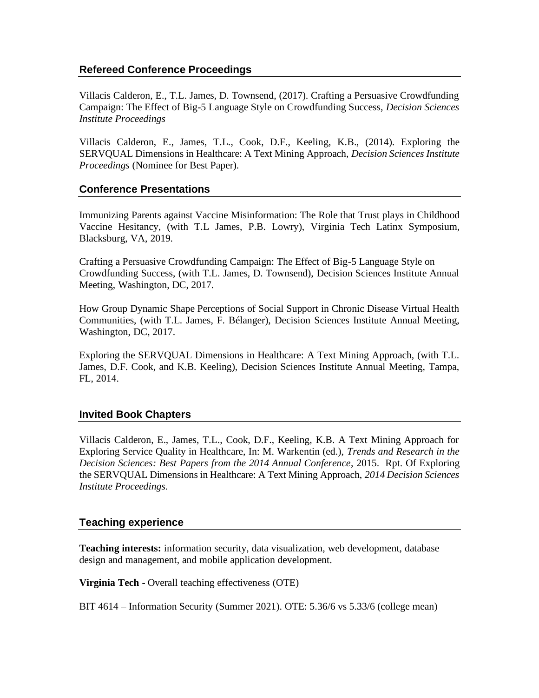## **Refereed Conference Proceedings**

Villacis Calderon, E., T.L. James, D. Townsend, (2017). Crafting a Persuasive Crowdfunding Campaign: The Effect of Big-5 Language Style on Crowdfunding Success, *Decision Sciences Institute Proceedings*

Villacis Calderon, E., James, T.L., Cook, D.F., Keeling, K.B., (2014). Exploring the SERVQUAL Dimensions in Healthcare: A Text Mining Approach, *Decision Sciences Institute Proceedings* (Nominee for Best Paper).

## **Conference Presentations**

Immunizing Parents against Vaccine Misinformation: The Role that Trust plays in Childhood Vaccine Hesitancy, (with T.L James, P.B. Lowry), Virginia Tech Latinx Symposium, Blacksburg, VA, 2019.

Crafting a Persuasive Crowdfunding Campaign: The Effect of Big-5 Language Style on Crowdfunding Success, (with T.L. James, D. Townsend), Decision Sciences Institute Annual Meeting, Washington, DC, 2017.

How Group Dynamic Shape Perceptions of Social Support in Chronic Disease Virtual Health Communities, (with T.L. James, F. Bélanger), Decision Sciences Institute Annual Meeting, Washington, DC, 2017.

Exploring the SERVQUAL Dimensions in Healthcare: A Text Mining Approach, (with T.L. James, D.F. Cook, and K.B. Keeling), Decision Sciences Institute Annual Meeting, Tampa, FL, 2014.

## **Invited Book Chapters**

Villacis Calderon, E., James, T.L., Cook, D.F., Keeling, K.B. A Text Mining Approach for Exploring Service Quality in Healthcare, In: M. Warkentin (ed.), *Trends and Research in the Decision Sciences: Best Papers from the 2014 Annual Conference*, 2015. Rpt. Of Exploring the SERVQUAL Dimensions in Healthcare: A Text Mining Approach, *2014 Decision Sciences Institute Proceedings*.

## **Teaching experience**

**Teaching interests:** information security, data visualization, web development, database design and management, and mobile application development.

**Virginia Tech -** Overall teaching effectiveness (OTE)

BIT 4614 – Information Security (Summer 2021). OTE: 5.36/6 vs 5.33/6 (college mean)